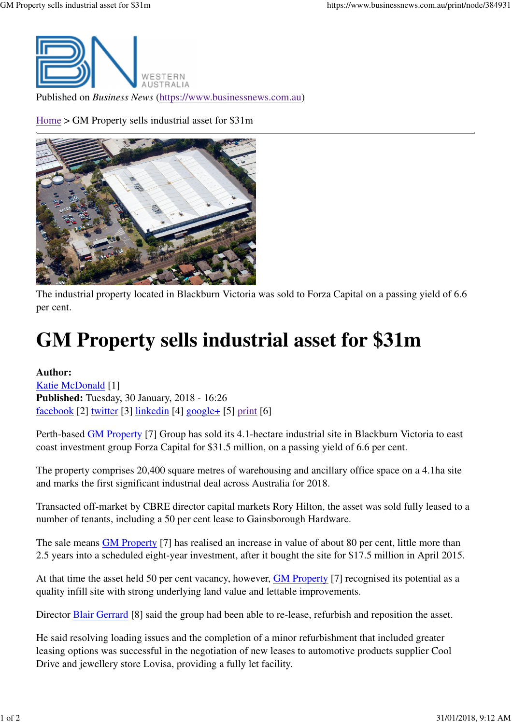

Published on *Business News* (https://www.businessnews.com.au)

Home > GM Property sells industrial asset for \$31m



The industrial property located in Blackburn Victoria was sold to Forza Capital on a passing yield of 6.6 per cent.

## **GM Property sells industrial asset for \$31m**

**Author:** Katie McDonald [1] **Published:** Tuesday, 30 January, 2018 - 16:26 facebook [2] twitter [3] linkedin [4] google+ [5] print [6]

Perth-based **GM** Property [7] Group has sold its 4.1-hectare industrial site in Blackburn Victoria to east coast investment group Forza Capital for \$31.5 million, on a passing yield of 6.6 per cent.

The property comprises 20,400 square metres of warehousing and ancillary office space on a 4.1ha site and marks the first significant industrial deal across Australia for 2018.

Transacted off-market by CBRE director capital markets Rory Hilton, the asset was sold fully leased to a number of tenants, including a 50 per cent lease to Gainsborough Hardware.

The sale means GM Property [7] has realised an increase in value of about 80 per cent, little more than 2.5 years into a scheduled eight-year investment, after it bought the site for \$17.5 million in April 2015.

At that time the asset held 50 per cent vacancy, however, GM Property [7] recognised its potential as a quality infill site with strong underlying land value and lettable improvements.

Director **Blair Gerrard** [8] said the group had been able to re-lease, refurbish and reposition the asset.

He said resolving loading issues and the completion of a minor refurbishment that included greater leasing options was successful in the negotiation of new leases to automotive products supplier Cool Drive and jewellery store Lovisa, providing a fully let facility.